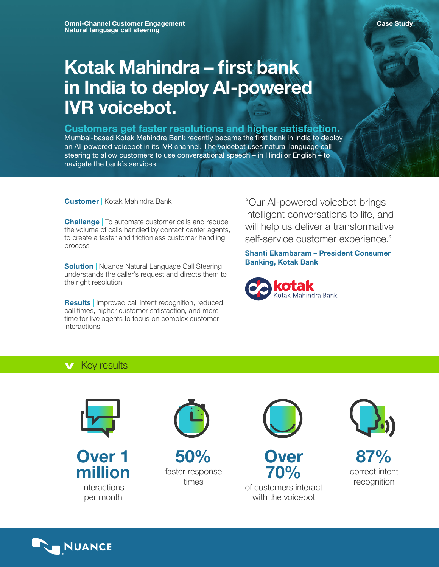# Kotak Mahindra – first bank in India to deploy AI-powered IVR voicebot.

# Customers get faster resolutions and higher satisfaction.

Mumbai-based Kotak Mahindra Bank recently became the first bank in India to deploy an AI-powered voicebot in its IVR channel. The voicebot uses natural language call steering to allow customers to use conversational speech – in Hindi or English – to navigate the bank's services.

Customer | Kotak Mahindra Bank

Challenge | To automate customer calls and reduce the volume of calls handled by contact center agents, to create a faster and frictionless customer handling process

**Solution** | Nuance Natural Language Call Steering understands the caller's request and directs them to the right resolution

Results | Improved call intent recognition, reduced call times, higher customer satisfaction, and more time for live agents to focus on complex customer interactions

"Our AI-powered voicebot brings intelligent conversations to life, and will help us deliver a transformative self-service customer experience."

Shanti Ekambaram – President Consumer Banking, Kotak Bank



# **v** Key results



Over 1 million interactions per month



50% faster response times



of customers interact with the voicebot



87% correct intent recognition

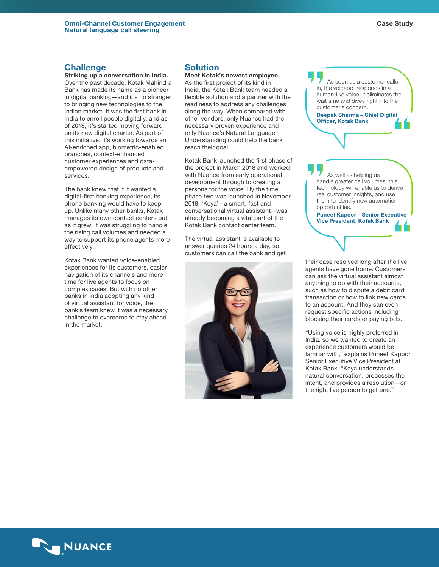## **Challenge**

Striking up a conversation in India. Over the past decade, Kotak Mahindra Bank has made its name as a pioneer in digital banking—and it's no stranger to bringing new technologies to the Indian market. It was the first bank in India to enroll people digitally, and as of 2018, it's started moving forward on its new digital charter. As part of this initiative, it's working towards an AI-enriched app, biometric-enabled branches, context-enhanced customer experiences and dataempowered design of products and services.

The bank knew that if it wanted a digital-first banking experience, its phone banking would have to keep up. Unlike many other banks, Kotak manages its own contact centers but as it grew, it was struggling to handle the rising call volumes and needed a way to support its phone agents more effectively.

Kotak Bank wanted voice-enabled experiences for its customers, easier navigation of its channels and more time for live agents to focus on complex cases. But with no other banks in India adopting any kind of virtual assistant for voice, the bank's team knew it was a necessary challenge to overcome to stay ahead in the market.

# **Solution**

Meet Kotak's newest employee. As the first project of its kind in India, the Kotak Bank team needed a flexible solution and a partner with the readiness to address any challenges along the way. When compared with other vendors, only Nuance had the necessary proven experience and only Nuance's Natural Language Understanding could help the bank reach their goal.

Kotak Bank launched the first phase of the project in March 2018 and worked with Nuance from early operational development through to creating a persona for the voice. By the time phase two was launched in November 2018, 'Keya'—a smart, fast and conversational virtual assistant—was already becoming a vital part of the Kotak Bank contact center team.

The virtual assistant is available to answer queries 24 hours a day, so customers can call the bank and get





their case resolved long after the live agents have gone home. Customers can ask the virtual assistant almost anything to do with their accounts, such as how to dispute a debit card transaction or how to link new cards to an account. And they can even request specific actions including blocking their cards or paying bills.

"Using voice is highly preferred in India, so we wanted to create an experience customers would be familiar with," explains Puneet Kapoor, Senior Executive Vice President at Kotak Bank. "Keya understands natural conversation, processes the intent, and provides a resolution—or the right live person to get one."